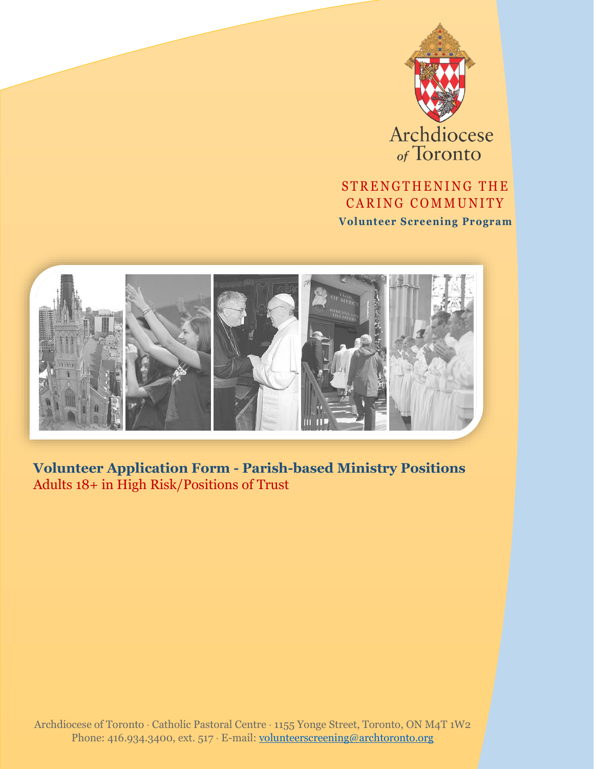

Archdiocese

## STRENGTHENING THE CARING COMMUNITY

**Volunteer Screening Program**



**Volunteer Application Form - Parish-based Ministry Positions** Adults 18+ in High Risk/Positions of Trust

Archdiocese of Toronto Catholic Pastoral Centre 1155 Yonge Street, Toronto, ON M4T 1W2 Phone: 416.934.3400, ext. 517 · E-mail: [volunteerscreening@archtoronto.org](mailto:volunteerscreening@archtoronto.org)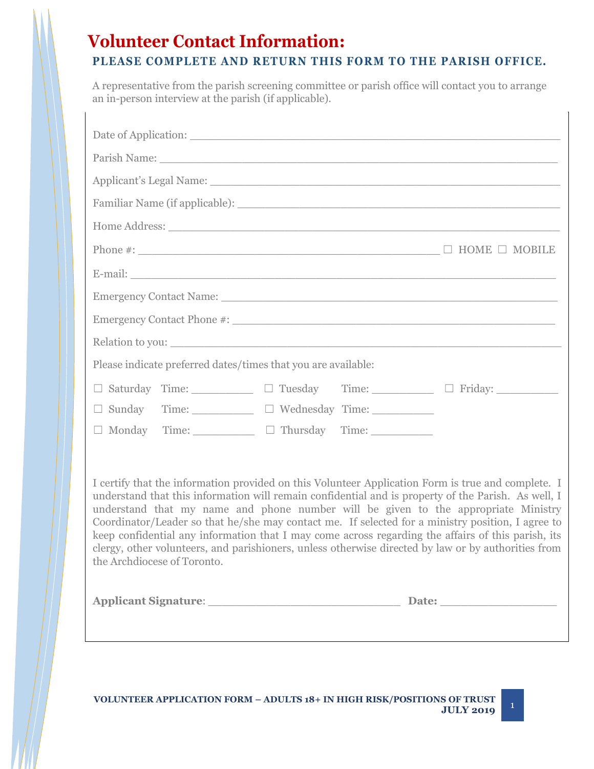# **Volunteer Contact Information:**

## **PLEASE COMPLETE AND RETURN THIS FORM TO THE PARISH OFFICE.**

A representative from the parish screening committee or parish office will contact you to arrange an in-person interview at the parish (if applicable).

| Applicant's Legal Name: 1996 and 2008 and 2008 and 2008 and 2008 and 2008 and 2008 and 2008 and 2008 and 2008 and 2008 and 2008 and 2008 and 2008 and 2008 and 2008 and 2008 and 2008 and 2008 and 2008 and 2008 and 2008 and                                                                                                                                                                                                                                                                                                                                                                                                                    |  |  |  |
|--------------------------------------------------------------------------------------------------------------------------------------------------------------------------------------------------------------------------------------------------------------------------------------------------------------------------------------------------------------------------------------------------------------------------------------------------------------------------------------------------------------------------------------------------------------------------------------------------------------------------------------------------|--|--|--|
|                                                                                                                                                                                                                                                                                                                                                                                                                                                                                                                                                                                                                                                  |  |  |  |
|                                                                                                                                                                                                                                                                                                                                                                                                                                                                                                                                                                                                                                                  |  |  |  |
|                                                                                                                                                                                                                                                                                                                                                                                                                                                                                                                                                                                                                                                  |  |  |  |
| E-mail: exploration of the contract of the contract of the contract of the contract of the contract of the contract of the contract of the contract of the contract of the contract of the contract of the contract of the con                                                                                                                                                                                                                                                                                                                                                                                                                   |  |  |  |
|                                                                                                                                                                                                                                                                                                                                                                                                                                                                                                                                                                                                                                                  |  |  |  |
|                                                                                                                                                                                                                                                                                                                                                                                                                                                                                                                                                                                                                                                  |  |  |  |
| Relation to you:                                                                                                                                                                                                                                                                                                                                                                                                                                                                                                                                                                                                                                 |  |  |  |
| Please indicate preferred dates/times that you are available:                                                                                                                                                                                                                                                                                                                                                                                                                                                                                                                                                                                    |  |  |  |
| $\Box$ Saturday Time: $\Box$ Tuesday Time: $\Box$ Friday: $\Box$                                                                                                                                                                                                                                                                                                                                                                                                                                                                                                                                                                                 |  |  |  |
| □ Sunday Time: □ Wednesday Time: _________                                                                                                                                                                                                                                                                                                                                                                                                                                                                                                                                                                                                       |  |  |  |
| $\Box$ Monday Time: $\Box$ Thursday Time:                                                                                                                                                                                                                                                                                                                                                                                                                                                                                                                                                                                                        |  |  |  |
| I certify that the information provided on this Volunteer Application Form is true and complete. I<br>understand that this information will remain confidential and is property of the Parish. As well, I<br>understand that my name and phone number will be given to the appropriate Ministry<br>Coordinator/Leader so that he/she may contact me. If selected for a ministry position, I agree to<br>keep confidential any information that I may come across regarding the affairs of this parish, its<br>clergy, other volunteers, and parishioners, unless otherwise directed by law or by authorities from<br>the Archdiocese of Toronto. |  |  |  |
|                                                                                                                                                                                                                                                                                                                                                                                                                                                                                                                                                                                                                                                  |  |  |  |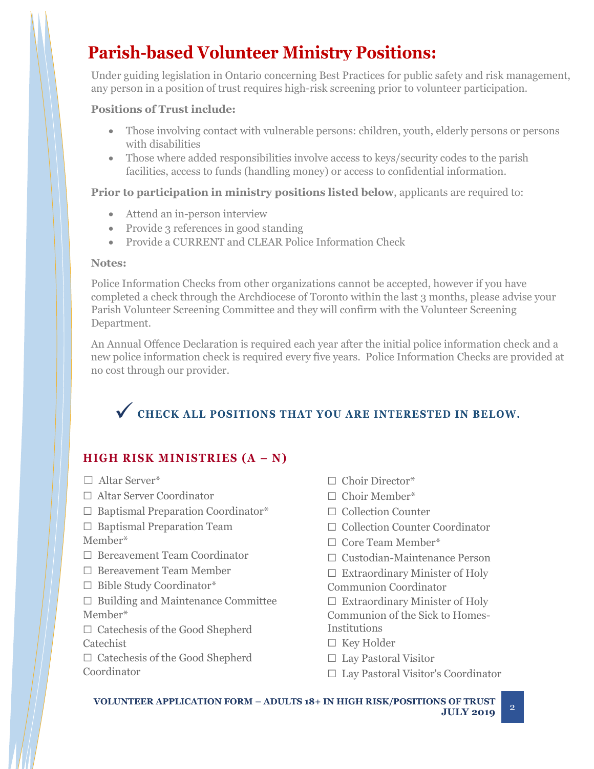# **Parish-based Volunteer Ministry Positions:**

Under guiding legislation in Ontario concerning Best Practices for public safety and risk management, any person in a position of trust requires high-risk screening prior to volunteer participation.

### **Positions of Trust include:**

- Those involving contact with vulnerable persons: children, youth, elderly persons or persons with disabilities
- Those where added responsibilities involve access to keys/security codes to the parish facilities, access to funds (handling money) or access to confidential information.

### **Prior to participation in ministry positions listed below**, applicants are required to:

- Attend an in-person interview
- Provide 3 references in good standing
- Provide a CURRENT and CLEAR Police Information Check

#### **Notes:**

Police Information Checks from other organizations cannot be accepted, however if you have completed a check through the Archdiocese of Toronto within the last 3 months, please advise your Parish Volunteer Screening Committee and they will confirm with the Volunteer Screening Department.

An Annual Offence Declaration is required each year after the initial police information check and a new police information check is required every five years. Police Information Checks are provided at no cost through our provider.

# V CHECK ALL POSITIONS THAT YOU ARE INTERESTED IN BELOW.

## **HIGH RISK MINISTRIES (A – N)**

- ☐ Altar Server\*
- ☐ Altar Server Coordinator
- ☐ Baptismal Preparation Coordinator\*
- □ Baptismal Preparation Team
- Member\*
- ☐ Bereavement Team Coordinator
- ☐ Bereavement Team Member
- ☐ Bible Study Coordinator\*
- $\Box$  Building and Maintenance Committee Member\*
- ☐ Catechesis of the Good Shepherd Catechist
- ☐ Catechesis of the Good Shepherd Coordinator
- □ Choir Director\*
- □ Choir Member\*
- ☐ Collection Counter
- ☐ Collection Counter Coordinator
- ☐ Core Team Member\*
- ☐ Custodian-Maintenance Person
- $\Box$  Extraordinary Minister of Holy
- Communion Coordinator
- $\Box$  Extraordinary Minister of Holy Communion of the Sick to Homes-
- Institutions
- ☐ Key Holder
- ☐ Lay Pastoral Visitor
- ☐ Lay Pastoral Visitor's Coordinator

**VOLUNTEER APPLICATION FORM – ADULTS 18+ IN HIGH RISK/POSITIONS OF TRUST**  $JULY$  **2019**  $^2$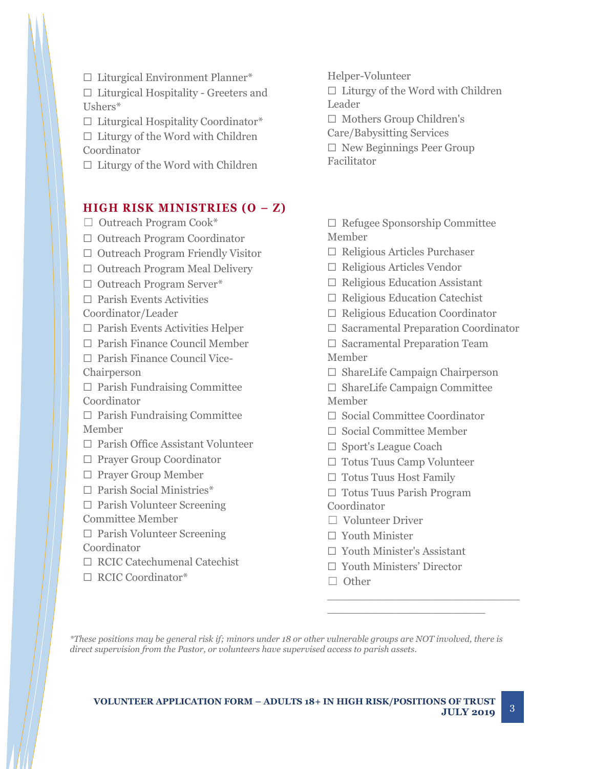☐ Liturgical Environment Planner\*

☐ Liturgical Hospitality - Greeters and Ushers\*

☐ Liturgical Hospitality Coordinator\*  $\Box$  Liturgy of the Word with Children

Coordinator

 $\Box$  Liturgy of the Word with Children

### **HIGH RISK MINISTRIES (O – Z)**

□ Outreach Program Cook\*

- ☐ Outreach Program Coordinator
- ☐ Outreach Program Friendly Visitor
- ☐ Outreach Program Meal Delivery
- ☐ Outreach Program Server\*
- $\Box$  Parish Events Activities Coordinator/Leader
- $\Box$  Parish Events Activities Helper
- ☐ Parish Finance Council Member
- ☐ Parish Finance Council Vice-Chairperson

 $\Box$  Parish Fundraising Committee Coordinator

 $\Box$  Parish Fundraising Committee Member

☐ Parish Office Assistant Volunteer

- ☐ Prayer Group Coordinator
- ☐ Prayer Group Member
- □ Parish Social Ministries\*
- ☐ Parish Volunteer Screening
- Committee Member
- ☐ Parish Volunteer Screening Coordinator
- ☐ RCIC Catechumenal Catechist
- ☐ RCIC Coordinator\*
- Helper-Volunteer
- $\Box$  Liturgy of the Word with Children Leader
- ☐ Mothers Group Children's
- Care/Babysitting Services
- $\Box$  New Beginnings Peer Group Facilitator

☐ Refugee Sponsorship Committee Member

- ☐ Religious Articles Purchaser
- ☐ Religious Articles Vendor
- ☐ Religious Education Assistant
- $\Box$  Religious Education Catechist
- ☐ Religious Education Coordinator
- ☐ Sacramental Preparation Coordinator
- ☐ Sacramental Preparation Team Member
- ☐ ShareLife Campaign Chairperson
- ☐ ShareLife Campaign Committee Member
- ☐ Social Committee Coordinator
- ☐ Social Committee Member
- ☐ Sport's League Coach
- ☐ Totus Tuus Camp Volunteer
- ☐ Totus Tuus Host Family
- ☐ Totus Tuus Parish Program Coordinator
- ☐ Volunteer Driver
- ☐ Youth Minister
- ☐ Youth Minister's Assistant
- ☐ Youth Ministers' Director

\_\_\_\_\_\_\_\_\_\_\_\_\_\_\_\_\_\_\_\_\_\_\_\_\_\_\_\_

\_\_\_\_\_\_\_\_\_\_\_\_\_\_\_\_\_\_\_\_\_\_\_

□ Other

*\*These positions may be general risk if; minors under 18 or other vulnerable groups are NOT involved, there is direct supervision from the Pastor, or volunteers have supervised access to parish assets.*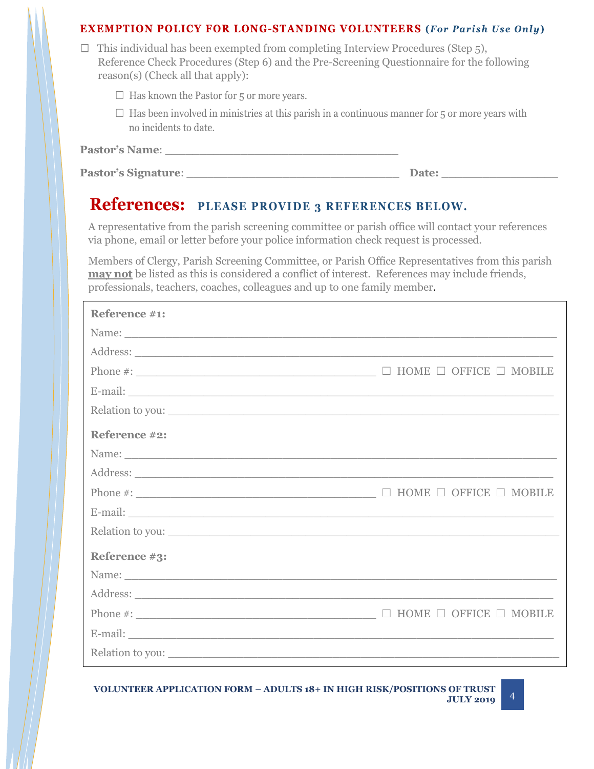#### **EXEMPTION POLICY FOR LONG-STANDING VOLUNTEERS** (For Parish Use Only)

| $\Box$ This individual has been exempted from completing Interview Procedures (Step 5),   |
|-------------------------------------------------------------------------------------------|
| Reference Check Procedures (Step 6) and the Pre-Screening Questionnaire for the following |
| reason(s) (Check all that apply):                                                         |

- $\Box$  Has known the Pastor for 5 or more years.
- $\Box$  Has been involved in ministries at this parish in a continuous manner for 5 or more years with no incidents to date.

| <b>Pastor's Name:</b> |  |
|-----------------------|--|
|                       |  |

| <b>Pastor's Signature:</b> | <b>Date:</b> |
|----------------------------|--------------|
|                            |              |

# **References: PLEASE PROVIDE 3 REFERENCES BELOW.**

A representative from the parish screening committee or parish office will contact your references via phone, email or letter before your police information check request is processed.

Members of Clergy, Parish Screening Committee, or Parish Office Representatives from this parish **may not** be listed as this is considered a conflict of interest. References may include friends, professionals, teachers, coaches, colleagues and up to one family member.

| Reference #1:                                                                                                                                                                                                                  |                                         |
|--------------------------------------------------------------------------------------------------------------------------------------------------------------------------------------------------------------------------------|-----------------------------------------|
|                                                                                                                                                                                                                                |                                         |
|                                                                                                                                                                                                                                |                                         |
|                                                                                                                                                                                                                                | $\Box$ HOME $\Box$ OFFICE $\Box$ MOBILE |
|                                                                                                                                                                                                                                |                                         |
| Relation to you:                                                                                                                                                                                                               |                                         |
| Reference #2:                                                                                                                                                                                                                  |                                         |
|                                                                                                                                                                                                                                |                                         |
|                                                                                                                                                                                                                                |                                         |
|                                                                                                                                                                                                                                |                                         |
|                                                                                                                                                                                                                                |                                         |
| Relation to you:                                                                                                                                                                                                               |                                         |
| Reference #3:                                                                                                                                                                                                                  |                                         |
|                                                                                                                                                                                                                                |                                         |
|                                                                                                                                                                                                                                |                                         |
|                                                                                                                                                                                                                                | HOME $\Box$ OFFICE $\Box$ MOBILE        |
| E-mail: No. 1998. The Commission of the Commission of the Commission of the Commission of the Commission of the Commission of the Commission of the Commission of the Commission of the Commission of the Commission of the Co |                                         |
| Relation to you:                                                                                                                                                                                                               |                                         |